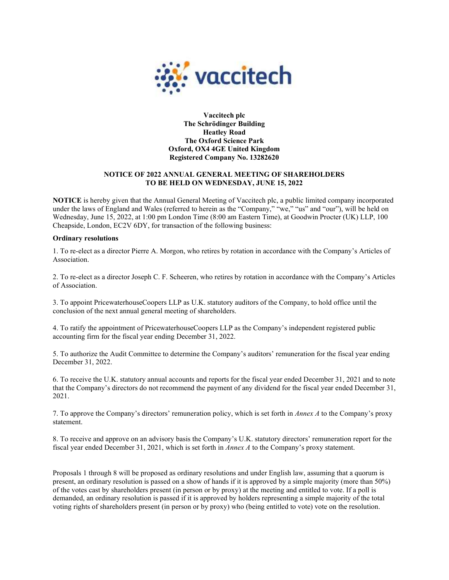

Vaccitech plc The Schrödinger Building Heatley Road The Oxford Science Park Oxford, OX4 4GE United Kingdom Registered Company No. 13282620

## NOTICE OF 2022 ANNUAL GENERAL MEETING OF SHAREHOLDERS TO BE HELD ON WEDNESDAY, JUNE 15, 2022

NOTICE is hereby given that the Annual General Meeting of Vaccitech plc, a public limited company incorporated under the laws of England and Wales (referred to herein as the "Company," "we," "us" and "our"), will be held on Wednesday, June 15, 2022, at 1:00 pm London Time (8:00 am Eastern Time), at Goodwin Procter (UK) LLP, 100 Cheapside, London, EC2V 6DY, for transaction of the following business:

## Ordinary resolutions

1. To re-elect as a director Pierre A. Morgon, who retires by rotation in accordance with the Company's Articles of Association.

2. To re-elect as a director Joseph C. F. Scheeren, who retires by rotation in accordance with the Company's Articles of Association.

3. To appoint PricewaterhouseCoopers LLP as U.K. statutory auditors of the Company, to hold office until the conclusion of the next annual general meeting of shareholders.

4. To ratify the appointment of PricewaterhouseCoopers LLP as the Company's independent registered public accounting firm for the fiscal year ending December 31, 2022.

5. To authorize the Audit Committee to determine the Company's auditors' remuneration for the fiscal year ending December 31, 2022.

6. To receive the U.K. statutory annual accounts and reports for the fiscal year ended December 31, 2021 and to note that the Company's directors do not recommend the payment of any dividend for the fiscal year ended December 31, 2021.

7. To approve the Company's directors' remuneration policy, which is set forth in Annex A to the Company's proxy statement.

8. To receive and approve on an advisory basis the Company's U.K. statutory directors' remuneration report for the fiscal year ended December 31, 2021, which is set forth in Annex A to the Company's proxy statement.

Proposals 1 through 8 will be proposed as ordinary resolutions and under English law, assuming that a quorum is present, an ordinary resolution is passed on a show of hands if it is approved by a simple majority (more than 50%) of the votes cast by shareholders present (in person or by proxy) at the meeting and entitled to vote. If a poll is demanded, an ordinary resolution is passed if it is approved by holders representing a simple majority of the total voting rights of shareholders present (in person or by proxy) who (being entitled to vote) vote on the resolution.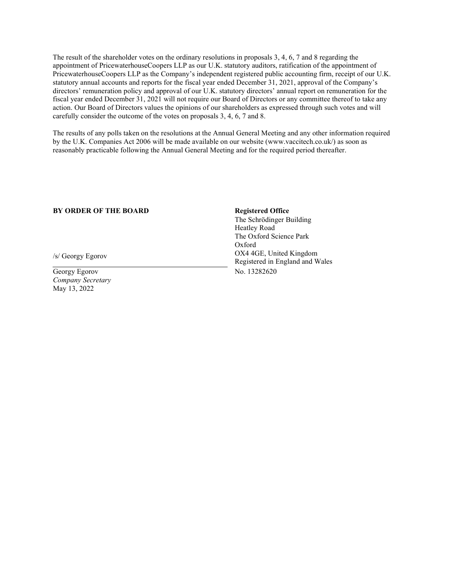The result of the shareholder votes on the ordinary resolutions in proposals 3, 4, 6, 7 and 8 regarding the appointment of PricewaterhouseCoopers LLP as our U.K. statutory auditors, ratification of the appointment of PricewaterhouseCoopers LLP as the Company's independent registered public accounting firm, receipt of our U.K. statutory annual accounts and reports for the fiscal year ended December 31, 2021, approval of the Company's directors' remuneration policy and approval of our U.K. statutory directors' annual report on remuneration for the fiscal year ended December 31, 2021 will not require our Board of Directors or any committee thereof to take any action. Our Board of Directors values the opinions of our shareholders as expressed through such votes and will carefully consider the outcome of the votes on proposals 3, 4, 6, 7 and 8.

The results of any polls taken on the resolutions at the Annual General Meeting and any other information required by the U.K. Companies Act 2006 will be made available on our website (www.vaccitech.co.uk/) as soon as reasonably practicable following the Annual General Meeting and for the required period thereafter.

## BY ORDER OF THE BOARD Registered Office

/s/ Georgy Egorov

Georgy Egorov Company Secretary May 13, 2022

The Schrödinger Building Heatley Road The Oxford Science Park Oxford OX4 4GE, United Kingdom Registered in England and Wales No. 13282620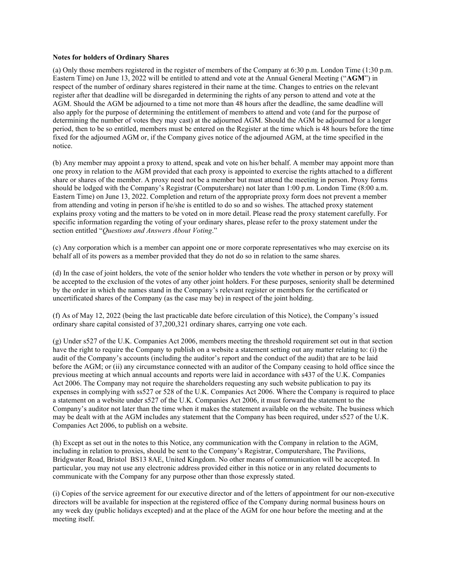## Notes for holders of Ordinary Shares

(a) Only those members registered in the register of members of the Company at 6:30 p.m. London Time (1:30 p.m. Eastern Time) on June 13, 2022 will be entitled to attend and vote at the Annual General Meeting ("AGM") in respect of the number of ordinary shares registered in their name at the time. Changes to entries on the relevant register after that deadline will be disregarded in determining the rights of any person to attend and vote at the AGM. Should the AGM be adjourned to a time not more than 48 hours after the deadline, the same deadline will also apply for the purpose of determining the entitlement of members to attend and vote (and for the purpose of determining the number of votes they may cast) at the adjourned AGM. Should the AGM be adjourned for a longer period, then to be so entitled, members must be entered on the Register at the time which is 48 hours before the time fixed for the adjourned AGM or, if the Company gives notice of the adjourned AGM, at the time specified in the notice.

(b) Any member may appoint a proxy to attend, speak and vote on his/her behalf. A member may appoint more than one proxy in relation to the AGM provided that each proxy is appointed to exercise the rights attached to a different share or shares of the member. A proxy need not be a member but must attend the meeting in person. Proxy forms should be lodged with the Company's Registrar (Computershare) not later than 1:00 p.m. London Time (8:00 a.m. Eastern Time) on June 13, 2022. Completion and return of the appropriate proxy form does not prevent a member from attending and voting in person if he/she is entitled to do so and so wishes. The attached proxy statement explains proxy voting and the matters to be voted on in more detail. Please read the proxy statement carefully. For specific information regarding the voting of your ordinary shares, please refer to the proxy statement under the section entitled "Questions and Answers About Voting."

(c) Any corporation which is a member can appoint one or more corporate representatives who may exercise on its behalf all of its powers as a member provided that they do not do so in relation to the same shares.

(d) In the case of joint holders, the vote of the senior holder who tenders the vote whether in person or by proxy will be accepted to the exclusion of the votes of any other joint holders. For these purposes, seniority shall be determined by the order in which the names stand in the Company's relevant register or members for the certificated or uncertificated shares of the Company (as the case may be) in respect of the joint holding.

(f) As of May 12, 2022 (being the last practicable date before circulation of this Notice), the Company's issued ordinary share capital consisted of 37,200,321 ordinary shares, carrying one vote each.

(g) Under s527 of the U.K. Companies Act 2006, members meeting the threshold requirement set out in that section have the right to require the Company to publish on a website a statement setting out any matter relating to: (i) the audit of the Company's accounts (including the auditor's report and the conduct of the audit) that are to be laid before the AGM; or (ii) any circumstance connected with an auditor of the Company ceasing to hold office since the previous meeting at which annual accounts and reports were laid in accordance with s437 of the U.K. Companies Act 2006. The Company may not require the shareholders requesting any such website publication to pay its expenses in complying with ss527 or 528 of the U.K. Companies Act 2006. Where the Company is required to place a statement on a website under s527 of the U.K. Companies Act 2006, it must forward the statement to the Company's auditor not later than the time when it makes the statement available on the website. The business which may be dealt with at the AGM includes any statement that the Company has been required, under s527 of the U.K. Companies Act 2006, to publish on a website.

(h) Except as set out in the notes to this Notice, any communication with the Company in relation to the AGM, including in relation to proxies, should be sent to the Company's Registrar, Computershare, The Pavilions, Bridgwater Road, Bristol BS13 8AE, United Kingdom. No other means of communication will be accepted. In particular, you may not use any electronic address provided either in this notice or in any related documents to communicate with the Company for any purpose other than those expressly stated.

(i) Copies of the service agreement for our executive director and of the letters of appointment for our non-executive directors will be available for inspection at the registered office of the Company during normal business hours on any week day (public holidays excepted) and at the place of the AGM for one hour before the meeting and at the meeting itself.